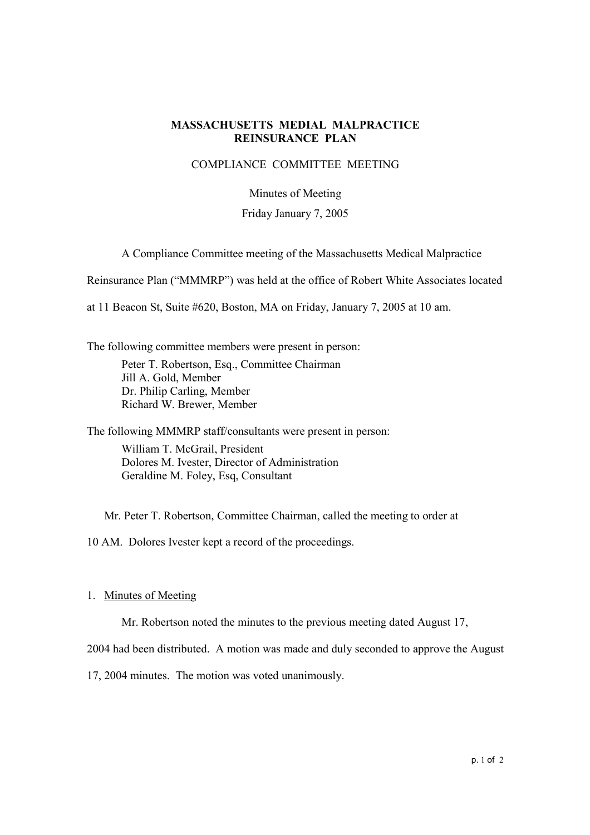## **MASSACHUSETTS MEDIAL MALPRACTICE REINSURANCE PLAN**

### COMPLIANCE COMMITTEE MEETING

#### Minutes of Meeting

### Friday January 7, 2005

A Compliance Committee meeting of the Massachusetts Medical Malpractice

Reinsurance Plan ("MMMRP") was held at the office of Robert White Associates located

at 11 Beacon St, Suite #620, Boston, MA on Friday, January 7, 2005 at 10 am.

The following committee members were present in person:

Peter T. Robertson, Esq., Committee Chairman Jill A. Gold, Member Dr. Philip Carling, Member Richard W. Brewer, Member

The following MMMRP staff/consultants were present in person:

William T. McGrail, President Dolores M. Ivester, Director of Administration Geraldine M. Foley, Esq, Consultant

Mr. Peter T. Robertson, Committee Chairman, called the meeting to order at

10 AM. Dolores Ivester kept a record of the proceedings.

#### 1. Minutes of Meeting

Mr. Robertson noted the minutes to the previous meeting dated August 17,

2004 had been distributed. A motion was made and duly seconded to approve the August

17, 2004 minutes. The motion was voted unanimously.